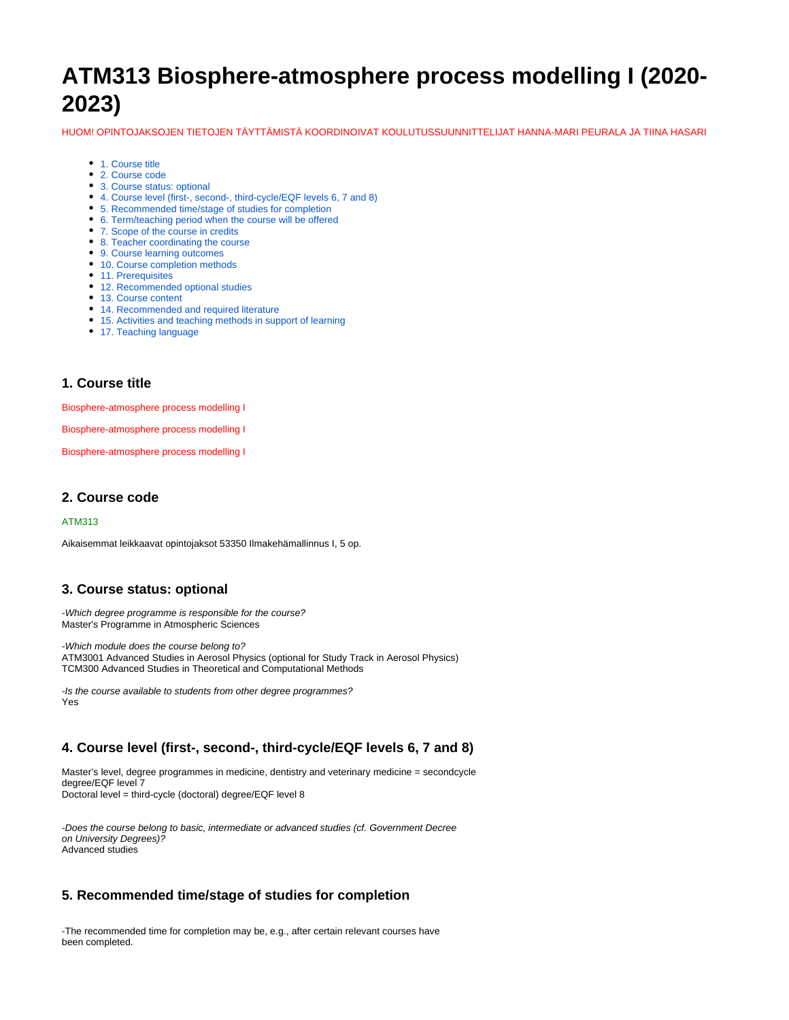# **ATM313 Biosphere-atmosphere process modelling I (2020- 2023)**

HUOM! OPINTOJAKSOJEN TIETOJEN TÄYTTÄMISTÄ KOORDINOIVAT KOULUTUSSUUNNITTELIJAT HANNA-MARI PEURALA JA TIINA HASARI

- [1. Course title](#page-0-0)
- [2. Course code](#page-0-1)
- [3. Course status: optional](#page-0-2)
- [4. Course level \(first-, second-, third-cycle/EQF levels 6, 7 and 8\)](#page-0-3)
- [5. Recommended time/stage of studies for completion](#page-0-4)
- [6. Term/teaching period when the course will be offered](#page-0-5)
- [7. Scope of the course in credits](#page-1-0)
- [8. Teacher coordinating the course](#page-1-1)
- [9. Course learning outcomes](#page-1-2)
- [10. Course completion methods](#page-1-3)
- [11. Prerequisites](#page-1-4)
- [12. Recommended optional studies](#page-1-5)
- [13. Course content](#page-1-6)
- [14. Recommended and required literature](#page-1-7)
- [15. Activities and teaching methods in support of learning](#page-1-8)
- [17. Teaching language](#page-1-9)

#### <span id="page-0-0"></span>**1. Course title**

Biosphere-atmosphere process modelling I

Biosphere-atmosphere process modelling I

Biosphere-atmosphere process modelling I

#### <span id="page-0-1"></span>**2. Course code**

#### ATM313

Aikaisemmat leikkaavat opintojaksot 53350 Ilmakehämallinnus I, 5 op.

#### <span id="page-0-2"></span>**3. Course status: optional**

-Which degree programme is responsible for the course? Master's Programme in Atmospheric Sciences

-Which module does the course belong to? ATM3001 Advanced Studies in Aerosol Physics (optional for Study Track in Aerosol Physics) TCM300 Advanced Studies in Theoretical and Computational Methods

-Is the course available to students from other degree programmes? Yes

#### <span id="page-0-3"></span>**4. Course level (first-, second-, third-cycle/EQF levels 6, 7 and 8)**

Master's level, degree programmes in medicine, dentistry and veterinary medicine = secondcycle degree/EQF level 7 Doctoral level = third-cycle (doctoral) degree/EQF level 8

-Does the course belong to basic, intermediate or advanced studies (cf. Government Decree on University Degrees)? Advanced studies

#### <span id="page-0-4"></span>**5. Recommended time/stage of studies for completion**

<span id="page-0-5"></span>-The recommended time for completion may be, e.g., after certain relevant courses have been completed.